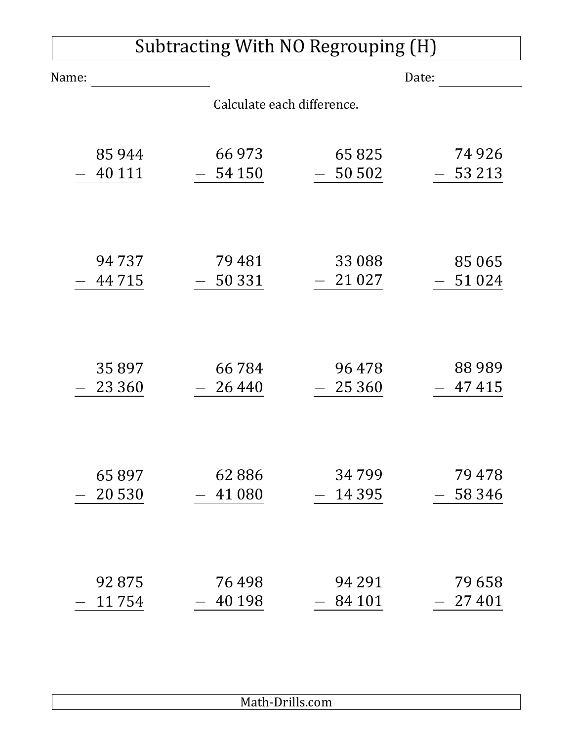| Subtracting With NO Regrouping (H) |          |          |          |          |  |  |  |  |  |  |
|------------------------------------|----------|----------|----------|----------|--|--|--|--|--|--|
| Name:                              |          |          |          | Date:    |  |  |  |  |  |  |
| Calculate each difference.         |          |          |          |          |  |  |  |  |  |  |
|                                    |          |          |          |          |  |  |  |  |  |  |
|                                    | 85944    | 66 973   | 65825    | 74 9 26  |  |  |  |  |  |  |
|                                    | 40 111   | 54 150   | 50 502   | 53 213   |  |  |  |  |  |  |
|                                    |          |          |          |          |  |  |  |  |  |  |
|                                    |          |          |          |          |  |  |  |  |  |  |
|                                    | 94737    | 79 481   | 33 088   | 85 0 65  |  |  |  |  |  |  |
|                                    | 44715    | 50 331   | 21 0 27  | 51024    |  |  |  |  |  |  |
|                                    |          |          |          |          |  |  |  |  |  |  |
|                                    |          |          |          |          |  |  |  |  |  |  |
|                                    | 35897    | 66 784   | 96478    | 88989    |  |  |  |  |  |  |
|                                    | 23 3 6 0 | 26 4 4 0 | 25 3 6 0 | 47 415   |  |  |  |  |  |  |
|                                    |          |          |          |          |  |  |  |  |  |  |
|                                    |          |          |          |          |  |  |  |  |  |  |
|                                    | 65897    | 62886    | 34799    | 79478    |  |  |  |  |  |  |
|                                    | 20 530   | 41 080   | 14 3 9 5 | 58 3 4 6 |  |  |  |  |  |  |
|                                    |          |          |          |          |  |  |  |  |  |  |
|                                    |          |          |          |          |  |  |  |  |  |  |
|                                    | 92875    | 76498    | 94 291   | 79 658   |  |  |  |  |  |  |
|                                    | 11754    | 40 198   | 84 101   | 27401    |  |  |  |  |  |  |

Math-Drills.com